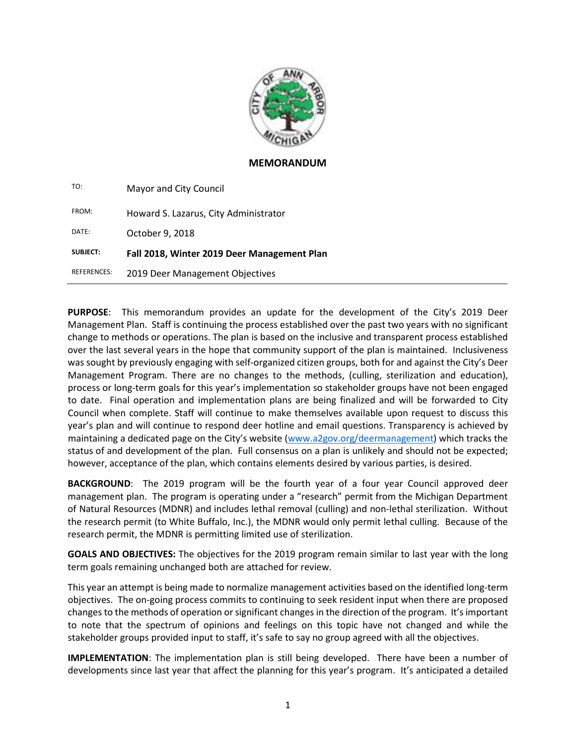

#### **MEMORANDUM**

| TO:                | Mayor and City Council                      |
|--------------------|---------------------------------------------|
| FROM:              | Howard S. Lazarus, City Administrator       |
| DATE:              | October 9, 2018                             |
| <b>SUBJECT:</b>    | Fall 2018, Winter 2019 Deer Management Plan |
| <b>REFERENCES:</b> | 2019 Deer Management Objectives             |

**PURPOSE**: This memorandum provides an update for the development of the City's 2019 Deer Management Plan. Staff is continuing the process established over the past two years with no significant change to methods or operations. The plan is based on the inclusive and transparent process established over the last several years in the hope that community support of the plan is maintained. Inclusiveness was sought by previously engaging with self-organized citizen groups, both for and against the City's Deer Management Program. There are no changes to the methods, (culling, sterilization and education), process or long-term goals for this year's implementation so stakeholder groups have not been engaged to date. Final operation and implementation plans are being finalized and will be forwarded to City Council when complete. Staff will continue to make themselves available upon request to discuss this year's plan and will continue to respond deer hotline and email questions. Transparency is achieved by maintaining a dedicated page on the City's website [\(www.a2gov.org/deermanagement\)](http://www.a2gov.org/deermanagement) which tracks the status of and development of the plan. Full consensus on a plan is unlikely and should not be expected; however, acceptance of the plan, which contains elements desired by various parties, is desired.

**BACKGROUND:** The 2019 program will be the fourth year of a four year Council approved deer management plan. The program is operating under a "research" permit from the Michigan Department of Natural Resources (MDNR) and includes lethal removal (culling) and non-lethal sterilization. Without the research permit (to White Buffalo, Inc.), the MDNR would only permit lethal culling. Because of the research permit, the MDNR is permitting limited use of sterilization.

**GOALS AND OBJECTIVES:** The objectives for the 2019 program remain similar to last year with the long term goals remaining unchanged both are attached for review.

This year an attempt is being made to normalize management activities based on the identified long-term objectives. The on-going process commits to continuing to seek resident input when there are proposed changes to the methods of operation orsignificant changes in the direction of the program. It's important to note that the spectrum of opinions and feelings on this topic have not changed and while the stakeholder groups provided input to staff, it's safe to say no group agreed with all the objectives.

**IMPLEMENTATION**: The implementation plan is still being developed. There have been a number of developments since last year that affect the planning for this year's program. It's anticipated a detailed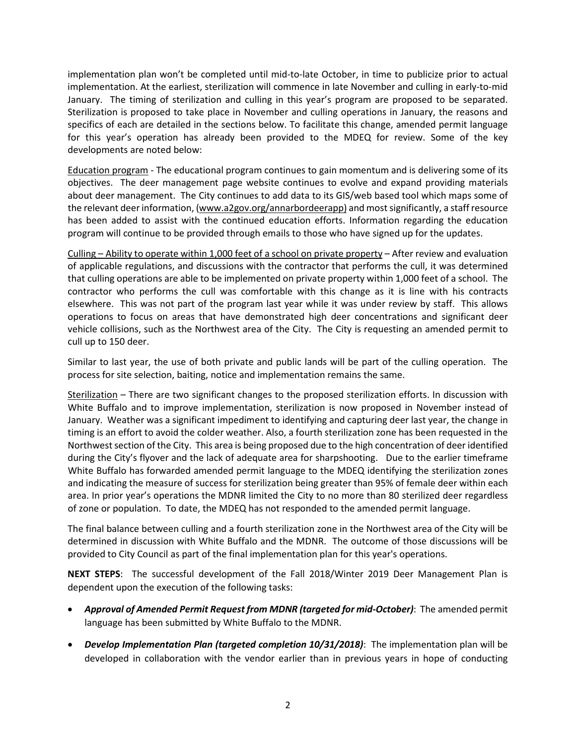implementation plan won't be completed until mid-to-late October, in time to publicize prior to actual implementation. At the earliest, sterilization will commence in late November and culling in early-to-mid January. The timing of sterilization and culling in this year's program are proposed to be separated. Sterilization is proposed to take place in November and culling operations in January, the reasons and specifics of each are detailed in the sections below. To facilitate this change, amended permit language for this year's operation has already been provided to the MDEQ for review. Some of the key developments are noted below:

Education program - The educational program continues to gain momentum and is delivering some of its objectives. The deer management page website continues to evolve and expand providing materials about deer management. The City continues to add data to its GIS/web based tool which maps some of the relevant deerinformation, [\(www.a2gov.org/annarbordeerapp\)](http://www.a2gov.org/annarbordeerapp) and mostsignificantly, a staffresource has been added to assist with the continued education efforts. Information regarding the education program will continue to be provided through emails to those who have signed up for the updates.

Culling – Ability to operate within 1,000 feet of a school on private property – After review and evaluation of applicable regulations, and discussions with the contractor that performs the cull, it was determined that culling operations are able to be implemented on private property within 1,000 feet of a school. The contractor who performs the cull was comfortable with this change as it is line with his contracts elsewhere. This was not part of the program last year while it was under review by staff. This allows operations to focus on areas that have demonstrated high deer concentrations and significant deer vehicle collisions, such as the Northwest area of the City. The City is requesting an amended permit to cull up to 150 deer.

Similar to last year, the use of both private and public lands will be part of the culling operation. The process for site selection, baiting, notice and implementation remains the same.

Sterilization – There are two significant changes to the proposed sterilization efforts. In discussion with White Buffalo and to improve implementation, sterilization is now proposed in November instead of January. Weather was a significant impediment to identifying and capturing deer last year, the change in timing is an effort to avoid the colder weather. Also, a fourth sterilization zone has been requested in the Northwest section of the City. This area is being proposed due to the high concentration of deer identified during the City's flyover and the lack of adequate area for sharpshooting. Due to the earlier timeframe White Buffalo has forwarded amended permit language to the MDEQ identifying the sterilization zones and indicating the measure of success for sterilization being greater than 95% of female deer within each area. In prior year's operations the MDNR limited the City to no more than 80 sterilized deer regardless of zone or population. To date, the MDEQ has not responded to the amended permit language.

The final balance between culling and a fourth sterilization zone in the Northwest area of the City will be determined in discussion with White Buffalo and the MDNR. The outcome of those discussions will be provided to City Council as part of the final implementation plan for this year's operations.

**NEXT STEPS**: The successful development of the Fall 2018/Winter 2019 Deer Management Plan is dependent upon the execution of the following tasks:

- *Approval of Amended Permit Request from MDNR (targeted for mid-October)*: The amended permit language has been submitted by White Buffalo to the MDNR.
- *Develop Implementation Plan (targeted completion 10/31/2018)*: The implementation plan will be developed in collaboration with the vendor earlier than in previous years in hope of conducting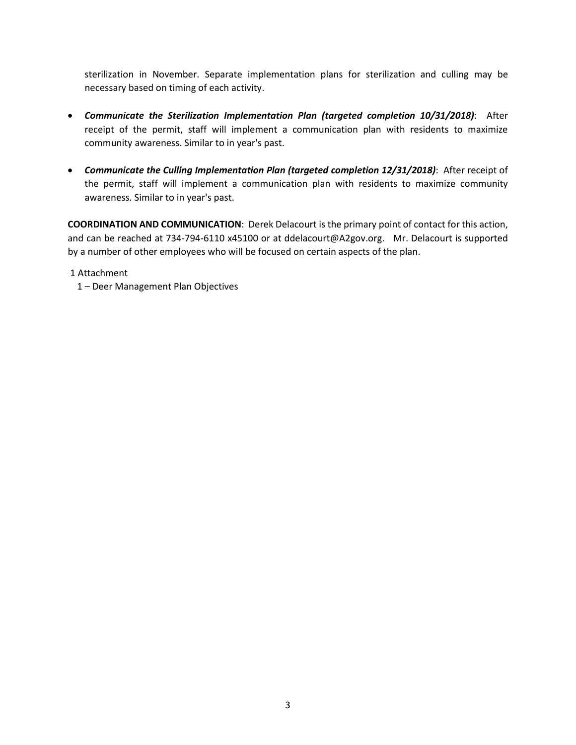sterilization in November. Separate implementation plans for sterilization and culling may be necessary based on timing of each activity.

- *Communicate the Sterilization Implementation Plan (targeted completion 10/31/2018)*: After receipt of the permit, staff will implement a communication plan with residents to maximize community awareness. Similar to in year's past.
- *Communicate the Culling Implementation Plan (targeted completion 12/31/2018)*: After receipt of the permit, staff will implement a communication plan with residents to maximize community awareness. Similar to in year's past.

**COORDINATION AND COMMUNICATION**: Derek Delacourt is the primary point of contact for this action, and can be reached at 734-794-6110 x45100 or at ddelacourt@A2gov.org. Mr. Delacourt is supported by a number of other employees who will be focused on certain aspects of the plan.

1 Attachment

1 – Deer Management Plan Objectives